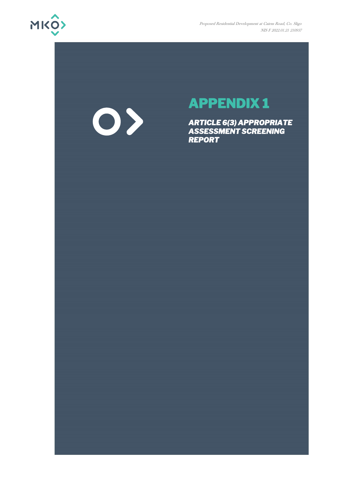

# 0>

## **APPENDIX 1**

*ARTICLE 6(3) APPROPRIATE ASSESSMENT SCREENING REPORT*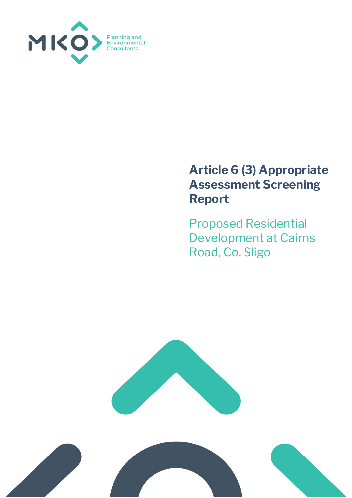

### **Article 6 (3) Appropriate Assessment Screening Report**

Proposed Residential Development at Cairns Road, Co. Sligo



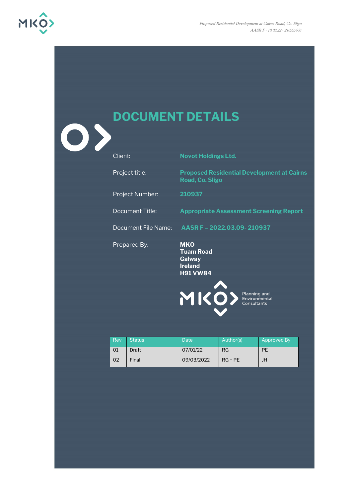

| $\mathbf{O}$ | <b>DOCUMENT DETAILS</b>    |                                                                               |
|--------------|----------------------------|-------------------------------------------------------------------------------|
|              | Client:                    | <b>Novot Holdings Ltd.</b>                                                    |
|              | Project title:             | <b>Proposed Residential Development at Cairns</b><br>Road, Co. Sligo          |
|              | Project Number:            | 210937                                                                        |
|              | <b>Document Title:</b>     | <b>Appropriate Assessment Screening Report</b>                                |
|              | <b>Document File Name:</b> | AASR F - 2022.03.09-210937                                                    |
|              | Prepared By:               | <b>MKO</b><br><b>Tuam Road</b><br>Galway<br><b>Ireland</b><br><b>H91 VW84</b> |
|              |                            | MIKO > Planning and Consultants                                               |

| Rev | <b>Status</b> | Date       | Author(s) | Approved By |
|-----|---------------|------------|-----------|-------------|
|     | Draft         | 07/01/22   | RG        | PE          |
| 02  | Final         | 09/03/2022 | $RG + PE$ | JH          |